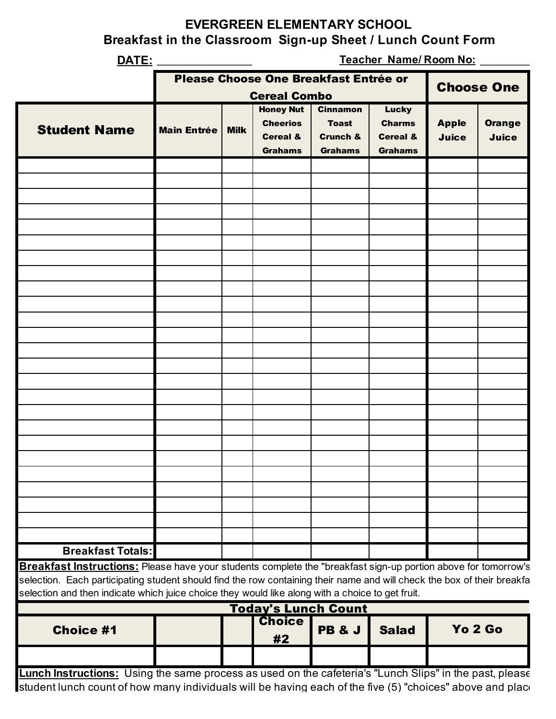## **EVERGREEN ELEMENTARY SCHOOL**

**Breakfast in the Classroom Sign-up Sheet / Lunch Count Form**

| DATE:                                                                                                                                                                                                                                                                                                                                         |                    | Teacher Name/Room No: |                                                                            |                                                       |                                                        |                              |                               |  |
|-----------------------------------------------------------------------------------------------------------------------------------------------------------------------------------------------------------------------------------------------------------------------------------------------------------------------------------------------|--------------------|-----------------------|----------------------------------------------------------------------------|-------------------------------------------------------|--------------------------------------------------------|------------------------------|-------------------------------|--|
|                                                                                                                                                                                                                                                                                                                                               |                    |                       | Please Choose One Breakfast Entrée or                                      |                                                       |                                                        |                              | <b>Choose One</b>             |  |
| <b>Student Name</b>                                                                                                                                                                                                                                                                                                                           |                    |                       | <b>Cereal Combo</b><br><b>Honey Nut</b><br><b>Cinnamon</b><br><b>Lucky</b> |                                                       |                                                        |                              |                               |  |
|                                                                                                                                                                                                                                                                                                                                               | <b>Main Entrée</b> | <b>Milk</b>           | <b>Cheerios</b><br><b>Cereal &amp;</b><br><b>Grahams</b>                   | <b>Toast</b><br><b>Crunch &amp;</b><br><b>Grahams</b> | <b>Charms</b><br><b>Cereal &amp;</b><br><b>Grahams</b> | <b>Apple</b><br><b>Juice</b> | <b>Orange</b><br><b>Juice</b> |  |
|                                                                                                                                                                                                                                                                                                                                               |                    |                       |                                                                            |                                                       |                                                        |                              |                               |  |
|                                                                                                                                                                                                                                                                                                                                               |                    |                       |                                                                            |                                                       |                                                        |                              |                               |  |
|                                                                                                                                                                                                                                                                                                                                               |                    |                       |                                                                            |                                                       |                                                        |                              |                               |  |
|                                                                                                                                                                                                                                                                                                                                               |                    |                       |                                                                            |                                                       |                                                        |                              |                               |  |
|                                                                                                                                                                                                                                                                                                                                               |                    |                       |                                                                            |                                                       |                                                        |                              |                               |  |
|                                                                                                                                                                                                                                                                                                                                               |                    |                       |                                                                            |                                                       |                                                        |                              |                               |  |
|                                                                                                                                                                                                                                                                                                                                               |                    |                       |                                                                            |                                                       |                                                        |                              |                               |  |
|                                                                                                                                                                                                                                                                                                                                               |                    |                       |                                                                            |                                                       |                                                        |                              |                               |  |
|                                                                                                                                                                                                                                                                                                                                               |                    |                       |                                                                            |                                                       |                                                        |                              |                               |  |
|                                                                                                                                                                                                                                                                                                                                               |                    |                       |                                                                            |                                                       |                                                        |                              |                               |  |
|                                                                                                                                                                                                                                                                                                                                               |                    |                       |                                                                            |                                                       |                                                        |                              |                               |  |
|                                                                                                                                                                                                                                                                                                                                               |                    |                       |                                                                            |                                                       |                                                        |                              |                               |  |
|                                                                                                                                                                                                                                                                                                                                               |                    |                       |                                                                            |                                                       |                                                        |                              |                               |  |
|                                                                                                                                                                                                                                                                                                                                               |                    |                       |                                                                            |                                                       |                                                        |                              |                               |  |
|                                                                                                                                                                                                                                                                                                                                               |                    |                       |                                                                            |                                                       |                                                        |                              |                               |  |
|                                                                                                                                                                                                                                                                                                                                               |                    |                       |                                                                            |                                                       |                                                        |                              |                               |  |
|                                                                                                                                                                                                                                                                                                                                               |                    |                       |                                                                            |                                                       |                                                        |                              |                               |  |
|                                                                                                                                                                                                                                                                                                                                               |                    |                       |                                                                            |                                                       |                                                        |                              |                               |  |
|                                                                                                                                                                                                                                                                                                                                               |                    |                       |                                                                            |                                                       |                                                        |                              |                               |  |
|                                                                                                                                                                                                                                                                                                                                               |                    |                       |                                                                            |                                                       |                                                        |                              |                               |  |
| <b>Breakfast Totals:</b>                                                                                                                                                                                                                                                                                                                      |                    |                       |                                                                            |                                                       |                                                        |                              |                               |  |
| Breakfast Instructions: Please have your students complete the "breakfast sign-up portion above for tomorrow's<br>selection. Each participating student should find the row containing their name and will check the box of their breakfa<br>selection and then indicate which juice choice they would like along with a choice to get fruit. |                    |                       |                                                                            |                                                       |                                                        |                              |                               |  |
|                                                                                                                                                                                                                                                                                                                                               |                    |                       |                                                                            | <b>Today's Lunch Count</b>                            |                                                        |                              |                               |  |
| <b>Choice #1</b>                                                                                                                                                                                                                                                                                                                              |                    |                       | <b>Choice</b><br>#2                                                        | <b>PB &amp; J</b>                                     | <b>Salad</b>                                           | Yo 2 Go                      |                               |  |
|                                                                                                                                                                                                                                                                                                                                               |                    |                       |                                                                            |                                                       |                                                        |                              |                               |  |
| Lunch Instructions: Using the same process as used on the cafeteria's "Lunch Slips" in the past, please                                                                                                                                                                                                                                       |                    |                       |                                                                            |                                                       |                                                        |                              |                               |  |

student lunch count of how many individuals will be having each of the five (5) "choices" above and place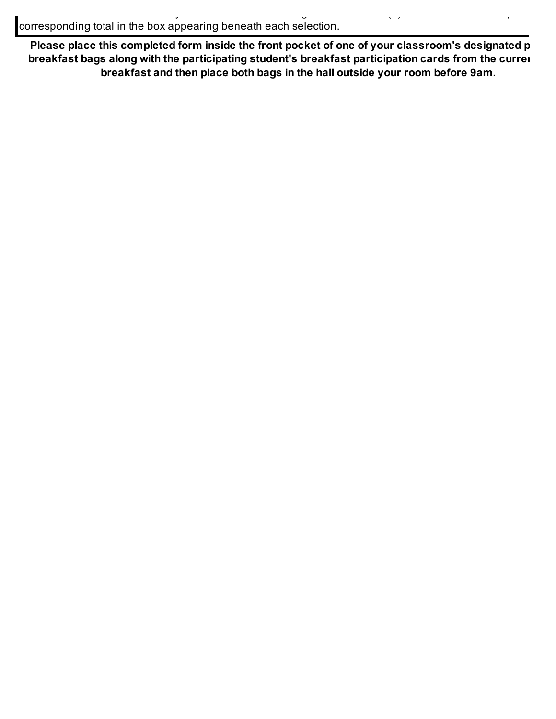Please place this completed form inside the front pocket of one of your classroom's designated p **breakfast bags along with the participating student's breakfast participation cards from the current draw breakfast and then place both bags in the hall outside your room before 9am.**

student lunch count of how many individuals will be having each of the five (5) "choices" above and place the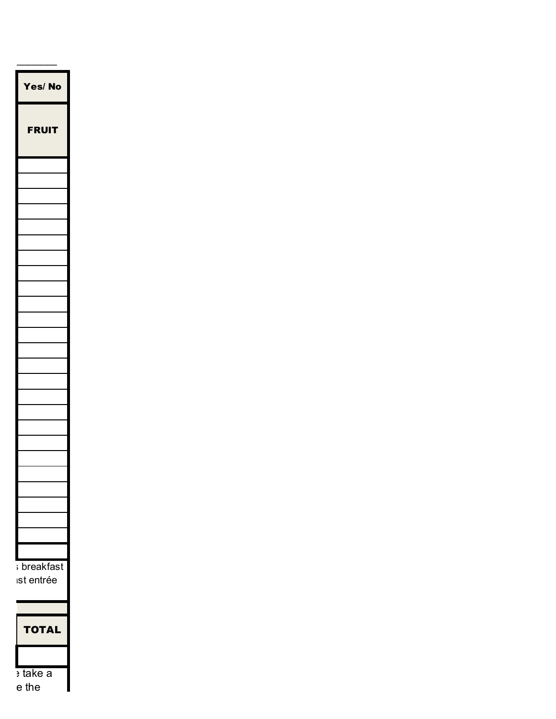

 $e$  the